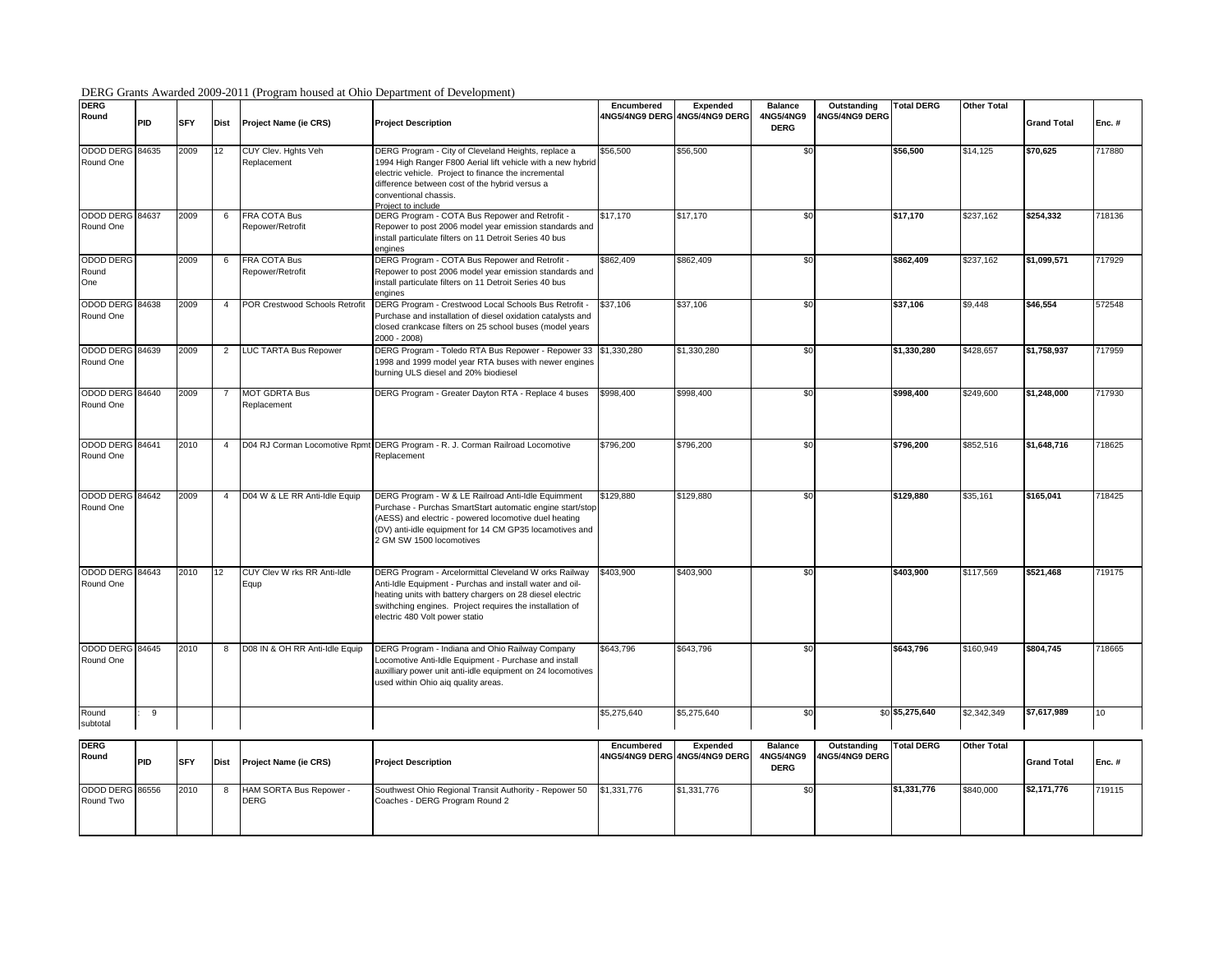## DERG Grants Awarded 2009-2011 (Program housed at Ohio Department of Development)

| <b>DERG</b><br>Round             | PID | <b>SFY</b> | <b>Dist</b>    | Project Name (ie CRS)                  | <b>Project Description</b>                                                                                                                                                                                                                                                   | Encumbered  | Expended<br>4NG5/4NG9 DERG 4NG5/4NG9 DERG | Balance<br>4NG5/4NG9<br><b>DERG</b>        | Outstanding<br>4NG5/4NG9 DERG | <b>Total DERG</b> | <b>Other Total</b> | <b>Grand Total</b> | Enc.#  |
|----------------------------------|-----|------------|----------------|----------------------------------------|------------------------------------------------------------------------------------------------------------------------------------------------------------------------------------------------------------------------------------------------------------------------------|-------------|-------------------------------------------|--------------------------------------------|-------------------------------|-------------------|--------------------|--------------------|--------|
| ODOD DERG 84635<br>Round One     |     | 2009       | 12             | CUY Clev. Hghts Veh<br>Replacement     | DERG Program - City of Cleveland Heights, replace a<br>1994 High Ranger F800 Aerial lift vehicle with a new hybrid<br>electric vehicle. Project to finance the incremental<br>difference between cost of the hybrid versus a<br>conventional chassis.<br>Project to include  | \$56,500    | \$56,500                                  | \$0                                        |                               | \$56,500          | \$14,125           | \$70,625           | 717880 |
| ODOD DERG 84637<br>Round One     |     | 2009       | 6              | FRA COTA Bus<br>Repower/Retrofit       | DERG Program - COTA Bus Repower and Retrofit -<br>Repower to post 2006 model year emission standards and<br>install particulate filters on 11 Detroit Series 40 bus<br>engines                                                                                               | \$17,170    | \$17,170                                  | \$0                                        |                               | \$17,170          | \$237.162          | \$254.332          | 718136 |
| <b>ODOD DERG</b><br>Round<br>One |     | 2009       | 6              | FRA COTA Bus<br>Repower/Retrofit       | DERG Program - COTA Bus Repower and Retrofit -<br>Repower to post 2006 model year emission standards and<br>install particulate filters on 11 Detroit Series 40 bus<br>engines                                                                                               | \$862,409   | \$862,409                                 | \$0                                        |                               | \$862,409         | \$237,162          | \$1,099,571        | 717929 |
| ODOD DERG 84638<br>Round One     |     | 2009       | $\overline{4}$ | POR Crestwood Schools Retrofit         | DERG Program - Crestwood Local Schools Bus Retrofit -<br>Purchase and installation of diesel oxidation catalysts and<br>closed crankcase filters on 25 school buses (model years<br>$2000 - 2008$                                                                            | \$37,106    | \$37,106                                  | \$0                                        |                               | \$37,106          | \$9,448            | \$46,554           | 572548 |
| ODOD DERG 84639<br>Round One     |     | 2009       | $\overline{2}$ | LUC TARTA Bus Repower                  | DERG Program - Toledo RTA Bus Repower - Repower 33 \$1,330,280<br>1998 and 1999 model year RTA buses with newer engines<br>burning ULS diesel and 20% biodiesel                                                                                                              |             | \$1,330,280                               | \$0                                        |                               | \$1,330,280       | \$428,657          | \$1,758,937        | 717959 |
| ODOD DERG 84640<br>Round One     |     | 2009       | $\overline{7}$ | MOT GDRTA Bus<br>Replacement           | DERG Program - Greater Dayton RTA - Replace 4 buses                                                                                                                                                                                                                          | \$998,400   | \$998,400                                 | \$0                                        |                               | \$998,400         | \$249,600          | \$1,248,000        | 717930 |
| ODOD DERG 84641<br>Round One     |     | 2010       | 4              |                                        | D04 RJ Corman Locomotive Rpmt DERG Program - R. J. Corman Railroad Locomotive<br>Replacement                                                                                                                                                                                 | \$796,200   | \$796,200                                 | \$0                                        |                               | \$796,200         | \$852,516          | \$1,648,716        | 718625 |
| ODOD DERG 84642<br>Round One     |     | 2009       | 4              | D04 W & LE RR Anti-Idle Equip          | DERG Program - W & LE Railroad Anti-Idle Equimment<br>Purchase - Purchas SmartStart automatic engine start/stop<br>AESS) and electric - powered locomotive duel heating<br>(DV) anti-idle equipment for 14 CM GP35 locamotives and<br>2 GM SW 1500 locomotives               | \$129,880   | \$129,880                                 | \$0                                        |                               | \$129.880         | \$35,161           | \$165.041          | 718425 |
| ODOD DERG 84643<br>Round One     |     | 2010       | 12             | CUY Clev W rks RR Anti-Idle<br>Equp    | DERG Program - Arcelormittal Cleveland W orks Railway<br>Anti-Idle Equipment - Purchas and install water and oil-<br>heating units with battery chargers on 28 diesel electric<br>swithching engines. Project requires the installation of<br>electric 480 Volt power statio | \$403,900   | \$403,900                                 | \$0                                        |                               | \$403,900         | \$117,569          | \$521,468          | 719175 |
| ODOD DERG 84645<br>Round One     |     | 2010       | 8              | D08 IN & OH RR Anti-Idle Equip         | DERG Program - Indiana and Ohio Railway Company<br>Locomotive Anti-Idle Equipment - Purchase and install<br>auxilliary power unit anti-idle equipment on 24 locomotives<br>used within Ohio aiq quality areas.                                                               | \$643,796   | \$643,796                                 | \$0                                        |                               | \$643,796         | \$160,949          | \$804,745          | 718665 |
| Round<br>subtotal                | 9   |            |                |                                        |                                                                                                                                                                                                                                                                              | \$5,275,640 | \$5,275,640                               | \$0                                        |                               | \$0 \$5,275,640   | \$2,342,349        | \$7,617,989        | 10     |
| <b>DERG</b><br>Round             | PID | <b>SFY</b> | <b>Dist</b>    | Project Name (ie CRS)                  | <b>Project Description</b>                                                                                                                                                                                                                                                   | Encumbered  | Expended<br>4NG5/4NG9 DERG 4NG5/4NG9 DERG | <b>Balance</b><br>4NG5/4NG9<br><b>DERG</b> | Outstanding<br>4NG5/4NG9 DERG | <b>Total DERG</b> | <b>Other Total</b> | <b>Grand Total</b> | Enc.#  |
| ODOD DERG 86556<br>Round Two     |     | 2010       | 8              | HAM SORTA Bus Repower -<br><b>DERG</b> | Southwest Ohio Regional Transit Authority - Repower 50<br>Coaches - DERG Program Round 2                                                                                                                                                                                     | \$1,331,776 | \$1,331,776                               | \$0                                        |                               | \$1,331,776       | \$840,000          | \$2,171,776        | 719115 |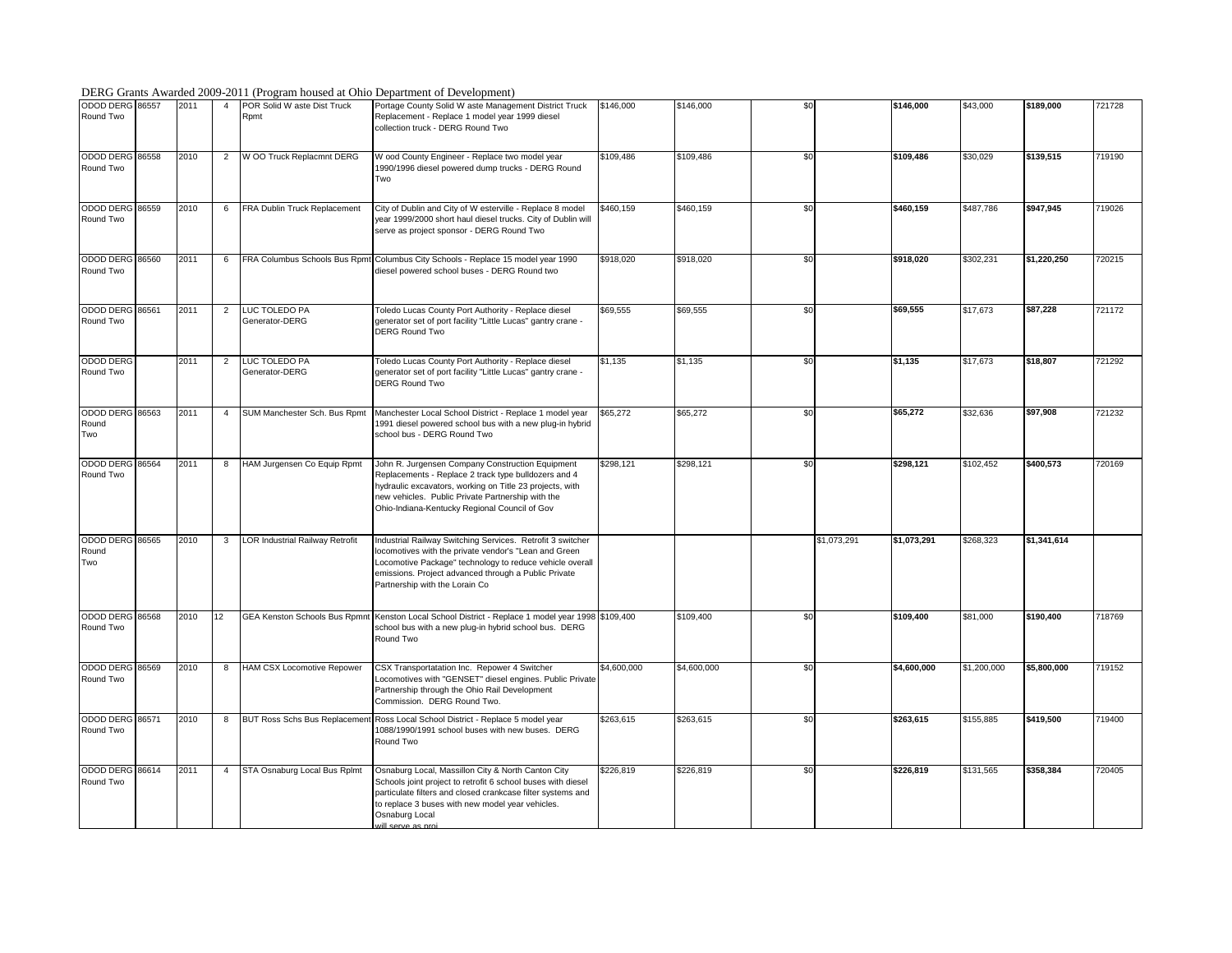## DERG Grants Awarded 2009-2011 (Program housed at Ohio Department of Development)

| 200                             |       |      |                |                                     | $\sim$ 2011 (110 grunn noused at Omo Bepartment of Beveropment)                                                                                                                                                                                                               |             |             |     |             |             |             |             |        |
|---------------------------------|-------|------|----------------|-------------------------------------|-------------------------------------------------------------------------------------------------------------------------------------------------------------------------------------------------------------------------------------------------------------------------------|-------------|-------------|-----|-------------|-------------|-------------|-------------|--------|
| ODOD DERG 86557<br>Round Two    |       | 2011 | 4              | POR Solid W aste Dist Truck<br>Rpmt | Portage County Solid W aste Management District Truck<br>Replacement - Replace 1 model year 1999 diesel<br>collection truck - DERG Round Two                                                                                                                                  | \$146,000   | \$146,000   | \$0 |             | \$146,000   | \$43,000    | \$189,000   | 721728 |
| ODOD DERG 86558<br>Round Two    |       | 2010 | $\overline{2}$ | W OO Truck Replacmnt DERG           | W ood County Engineer - Replace two model year<br>1990/1996 diesel powered dump trucks - DERG Round<br>Two                                                                                                                                                                    | \$109,486   | \$109,486   | \$0 |             | \$109,486   | \$30,029    | \$139,515   | 719190 |
| ODOD DERG 86559<br>Round Two    |       | 2010 | 6              | FRA Dublin Truck Replacement        | City of Dublin and City of W esterville - Replace 8 model<br>year 1999/2000 short haul diesel trucks. City of Dublin will<br>serve as project sponsor - DERG Round Two                                                                                                        | \$460,159   | \$460,159   | \$0 |             | \$460,159   | \$487,786   | \$947,945   | 719026 |
| ODOD DERG 86560<br>Round Two    |       | 2011 | 6              |                                     | FRA Columbus Schools Bus Rpmt Columbus City Schools - Replace 15 model year 1990<br>diesel powered school buses - DERG Round two                                                                                                                                              | \$918.020   | \$918.020   | \$0 |             | \$918.020   | \$302,231   | \$1,220,250 | 720215 |
| ODOD DERG<br>Round Two          | 86561 | 2011 | $\overline{2}$ | LUC TOLEDO PA<br>Generator-DERG     | Toledo Lucas County Port Authority - Replace diesel<br>generator set of port facility "Little Lucas" gantry crane -<br><b>DERG Round Two</b>                                                                                                                                  | \$69,555    | \$69,555    | \$0 |             | \$69,555    | \$17,673    | \$87,228    | 721172 |
| ODOD DERG<br>Round Two          |       | 2011 | $\overline{2}$ | LUC TOLEDO PA<br>Generator-DERG     | Toledo Lucas County Port Authority - Replace diesel<br>generator set of port facility "Little Lucas" gantry crane -<br><b>DERG Round Two</b>                                                                                                                                  | \$1,135     | \$1,135     | \$0 |             | \$1,135     | \$17,673    | \$18,807    | 721292 |
| ODOD DERG 86563<br>Round<br>Two |       | 2011 | $\overline{4}$ | SUM Manchester Sch. Bus Rpmt        | Manchester Local School District - Replace 1 model year<br>1991 diesel powered school bus with a new plug-in hybrid<br>school bus - DERG Round Two                                                                                                                            | \$65,272    | \$65,272    | \$0 |             | \$65,272    | \$32,636    | \$97,908    | 721232 |
| ODOD DERG 86564<br>Round Two    |       | 2011 | 8              | HAM Jurgensen Co Equip Rpmt         | John R. Jurgensen Company Construction Equipment<br>Replacements - Replace 2 track type bulldozers and 4<br>hydraulic excavators, working on Title 23 projects, with<br>new vehicles. Public Private Partnership with the<br>Ohio-Indiana-Kentucky Regional Council of Gov    | \$298,121   | \$298,121   | \$0 |             | \$298,121   | \$102,452   | \$400.573   | 720169 |
| ODOD DERG 86565<br>Round<br>Two |       | 2010 | 3              | LOR Industrial Railway Retrofit     | Industrial Railway Switching Services. Retrofit 3 switcher<br>locomotives with the private vendor's "Lean and Green<br>Locomotive Package" technology to reduce vehicle overall<br>emissions. Project advanced through a Public Private<br>Partnership with the Lorain Co     |             |             |     | \$1,073,291 | \$1,073,291 | \$268,323   | \$1,341,614 |        |
| <b>ODOD DERG</b><br>Round Two   | 86568 | 2010 | 12             |                                     | GEA Kenston Schools Bus Rpmnt Kenston Local School District - Replace 1 model year 1998 \$109,400<br>school bus with a new plug-in hybrid school bus. DERG<br>Round Two                                                                                                       |             | \$109,400   | \$0 |             | \$109,400   | \$81,000    | \$190,400   | 718769 |
| ODOD DERG 86569<br>Round Two    |       | 2010 | 8              | <b>HAM CSX Locomotive Repower</b>   | CSX Transportatation Inc. Repower 4 Switcher<br>Locomotives with "GENSET" diesel engines. Public Private<br>Partnership through the Ohio Rail Development<br>Commission. DERG Round Two.                                                                                      | \$4,600,000 | \$4,600,000 | \$0 |             | \$4,600,000 | \$1,200,000 | \$5,800,000 | 719152 |
| ODOD DERG 86571<br>Round Two    |       | 2010 | 8              | <b>BUT Ross Schs Bus Replacemen</b> | Ross Local School District - Replace 5 model year<br>1088/1990/1991 school buses with new buses. DERG<br>Round Two                                                                                                                                                            | \$263,615   | \$263,615   | \$0 |             | \$263,615   | \$155,885   | \$419,500   | 719400 |
| ODOD DERG 86614<br>Round Two    |       | 2011 | 4              | STA Osnaburg Local Bus Rplmt        | Osnaburg Local, Massillon City & North Canton City<br>Schools joint project to retrofit 6 school buses with diesel<br>particulate filters and closed crankcase filter systems and<br>to replace 3 buses with new model year vehicles.<br>Osnaburg Local<br>vill serve as proj | \$226,819   | \$226,819   | \$0 |             | \$226,819   | \$131,565   | \$358,384   | 720405 |